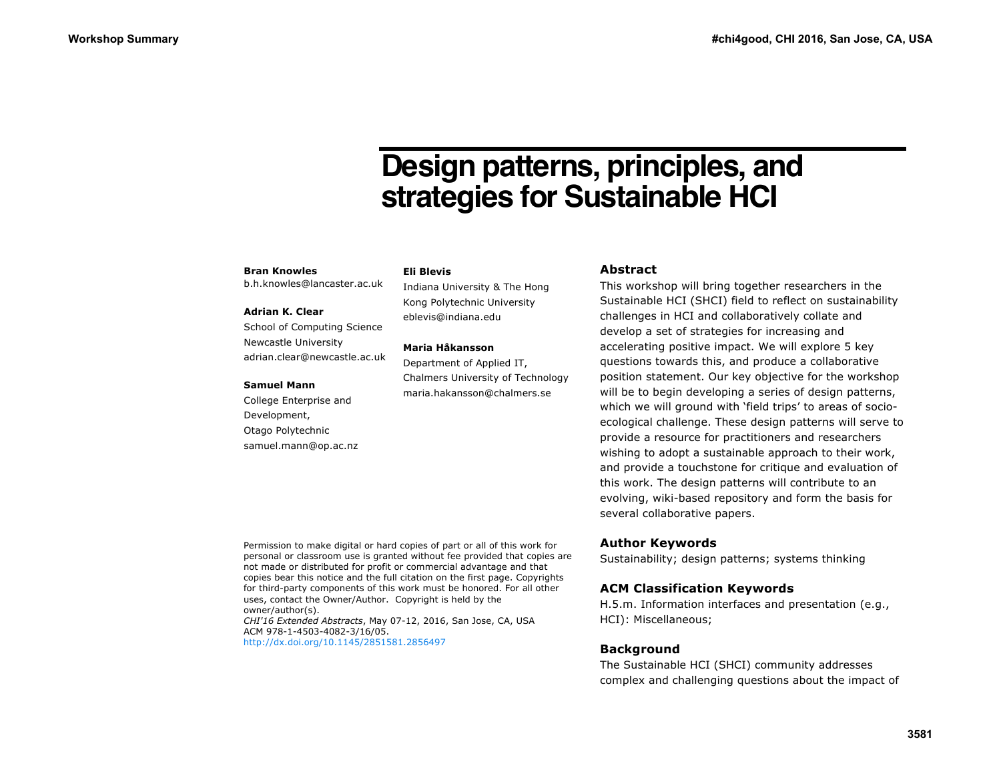# **Design patterns, principles, and strategies for Sustainable HCI**

# **Bran Knowles**

b.h.knowles@lancaster.ac.uk

#### **Adrian K. Clear**

School of Computing Science Newcastle University adrian.clear@newcastle.ac.uk

#### **Samuel Mann**

College Enterprise and Development, Otago Polytechnic samuel.mann@op.ac.nz

# **Eli Blevis**

Indiana University & The Hong Kong Polytechnic University eblevis@indiana.edu

#### **Maria Håkansson**

Department of Applied IT, Chalmers University of Technology maria.hakansson@chalmers.se

#### **Abstract**

This workshop will bring together researchers in the Sustainable HCI (SHCI) field to reflect on sustainability challenges in HCI and collaboratively collate and develop a set of strategies for increasing and accelerating positive impact. We will explore 5 key questions towards this, and produce a collaborative position statement. Our key objective for the workshop will be to begin developing a series of design patterns, which we will ground with 'field trips' to areas of socioecological challenge. These design patterns will serve to provide a resource for practitioners and researchers wishing to adopt a sustainable approach to their work, and provide a touchstone for critique and evaluation of this work. The design patterns will contribute to an evolving, wiki-based repository and form the basis for several collaborative papers.

## **Author Keywords**

Sustainability; design patterns; systems thinking

## **ACM Classification Keywords**

H.5.m. Information interfaces and presentation (e.g., HCI): Miscellaneous;

## **Background**

The Sustainable HCI (SHCI) community addresses complex and challenging questions about the impact of

Permission to make digital or hard copies of part or all of this work for personal or classroom use is granted without fee provided that copies are not made or distributed for profit or commercial advantage and that copies bear this notice and the full citation on the first page. Copyrights for third-party components of this work must be honored. For all other uses, contact the Owner/Author. Copyright is held by the owner/author(s). *CHI'16 Extended Abstracts*, May 07-12, 2016, San Jose, CA, USA

ACM 978-1-4503-4082-3/16/05. http://dx.doi.org/10.1145/2851581.2856497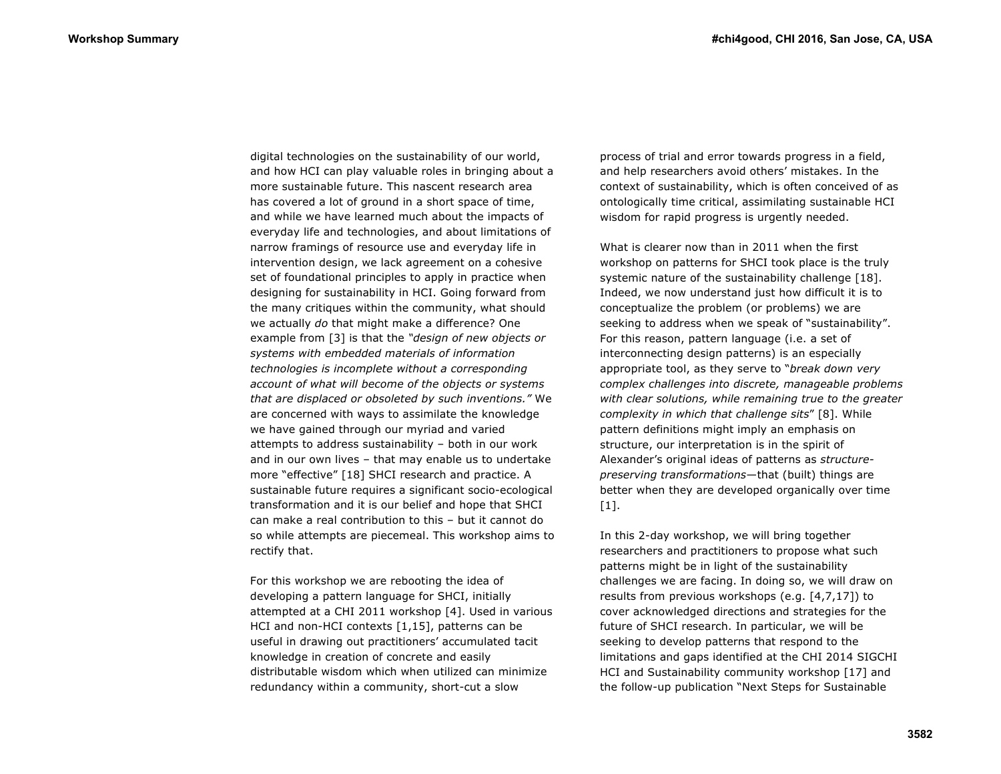digital technologies on the sustainability of our world, and how HCI can play valuable roles in bringing about a more sustainable future. This nascent research area has covered a lot of ground in a short space of time, and while we have learned much about the impacts of everyday life and technologies, and about limitations of narrow framings of resource use and everyday life in intervention design, we lack agreement on a cohesive set of foundational principles to apply in practice when designing for sustainability in HCI. Going forward from the many critiques within the community, what should we actually *do* that might make a difference? One example from [3] is that the *"design of new objects or systems with embedded materials of information technologies is incomplete without a corresponding account of what will become of the objects or systems that are displaced or obsoleted by such inventions."* We are concerned with ways to assimilate the knowledge we have gained through our myriad and varied attempts to address sustainability – both in our work and in our own lives – that may enable us to undertake more "effective" [18] SHCI research and practice. A sustainable future requires a significant socio-ecological transformation and it is our belief and hope that SHCI can make a real contribution to this – but it cannot do so while attempts are piecemeal. This workshop aims to rectify that.

For this workshop we are rebooting the idea of developing a pattern language for SHCI, initially attempted at a CHI 2011 workshop [4]. Used in various HCI and non-HCI contexts [1,15], patterns can be useful in drawing out practitioners' accumulated tacit knowledge in creation of concrete and easily distributable wisdom which when utilized can minimize redundancy within a community, short-cut a slow

process of trial and error towards progress in a field, and help researchers avoid others' mistakes. In the context of sustainability, which is often conceived of as ontologically time critical, assimilating sustainable HCI wisdom for rapid progress is urgently needed.

What is clearer now than in 2011 when the first workshop on patterns for SHCI took place is the truly systemic nature of the sustainability challenge [18]. Indeed, we now understand just how difficult it is to conceptualize the problem (or problems) we are seeking to address when we speak of "sustainability". For this reason, pattern language (i.e. a set of interconnecting design patterns) is an especially appropriate tool, as they serve to "*break down very complex challenges into discrete, manageable problems with clear solutions, while remaining true to the greater complexity in which that challenge sits*" [8]. While pattern definitions might imply an emphasis on structure, our interpretation is in the spirit of Alexander's original ideas of patterns as *structurepreserving transformations*—that (built) things are better when they are developed organically over time  $[1]$ .

In this 2-day workshop, we will bring together researchers and practitioners to propose what such patterns might be in light of the sustainability challenges we are facing. In doing so, we will draw on results from previous workshops (e.g. [4,7,17]) to cover acknowledged directions and strategies for the future of SHCI research. In particular, we will be seeking to develop patterns that respond to the limitations and gaps identified at the CHI 2014 SIGCHI HCI and Sustainability community workshop [17] and the follow-up publication "Next Steps for Sustainable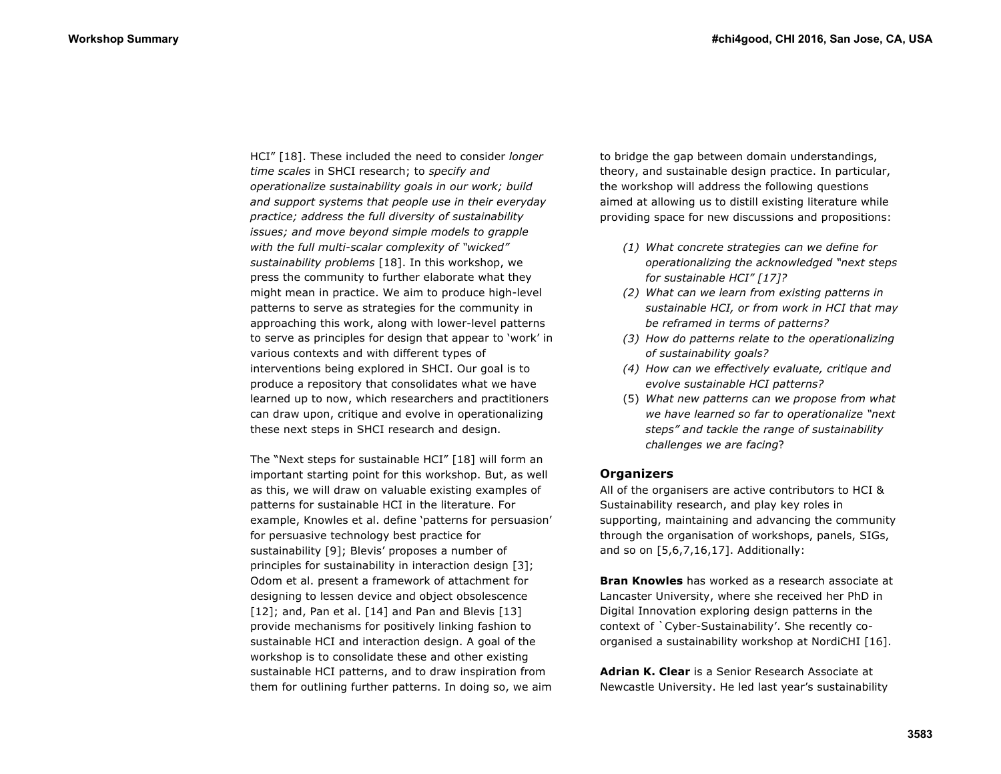HCI" [18]. These included the need to consider *longer time scales* in SHCI research; to *specify and operationalize sustainability goals in our work; build and support systems that people use in their everyday practice; address the full diversity of sustainability issues; and move beyond simple models to grapple with the full multi-scalar complexity of "wicked" sustainability problems* [18]. In this workshop, we press the community to further elaborate what they might mean in practice. We aim to produce high-level patterns to serve as strategies for the community in approaching this work, along with lower-level patterns to serve as principles for design that appear to 'work' in various contexts and with different types of interventions being explored in SHCI. Our goal is to produce a repository that consolidates what we have learned up to now, which researchers and practitioners can draw upon, critique and evolve in operationalizing these next steps in SHCI research and design.

The "Next steps for sustainable HCI" [18] will form an important starting point for this workshop. But, as well as this, we will draw on valuable existing examples of patterns for sustainable HCI in the literature. For example, Knowles et al. define 'patterns for persuasion' for persuasive technology best practice for sustainability [9]; Blevis' proposes a number of principles for sustainability in interaction design [3]; Odom et al. present a framework of attachment for designing to lessen device and object obsolescence  $[12]$ ; and, Pan et al.  $[14]$  and Pan and Blevis  $[13]$ provide mechanisms for positively linking fashion to sustainable HCI and interaction design. A goal of the workshop is to consolidate these and other existing sustainable HCI patterns, and to draw inspiration from them for outlining further patterns. In doing so, we aim to bridge the gap between domain understandings, theory, and sustainable design practice. In particular, the workshop will address the following questions aimed at allowing us to distill existing literature while providing space for new discussions and propositions:

- *(1) What concrete strategies can we define for operationalizing the acknowledged "next steps for sustainable HCI" [17]?*
- *(2) What can we learn from existing patterns in sustainable HCI, or from work in HCI that may be reframed in terms of patterns?*
- *(3) How do patterns relate to the operationalizing of sustainability goals?*
- *(4) How can we effectively evaluate, critique and evolve sustainable HCI patterns?*
- (5) *What new patterns can we propose from what we have learned so far to operationalize "next steps" and tackle the range of sustainability challenges we are facing*?

## **Organizers**

All of the organisers are active contributors to HCI & Sustainability research, and play key roles in supporting, maintaining and advancing the community through the organisation of workshops, panels, SIGs, and so on [5,6,7,16,17]. Additionally:

**Bran Knowles** has worked as a research associate at Lancaster University, where she received her PhD in Digital Innovation exploring design patterns in the context of `Cyber-Sustainability'. She recently coorganised a sustainability workshop at NordiCHI [16].

**Adrian K. Clear** is a Senior Research Associate at Newcastle University. He led last year's sustainability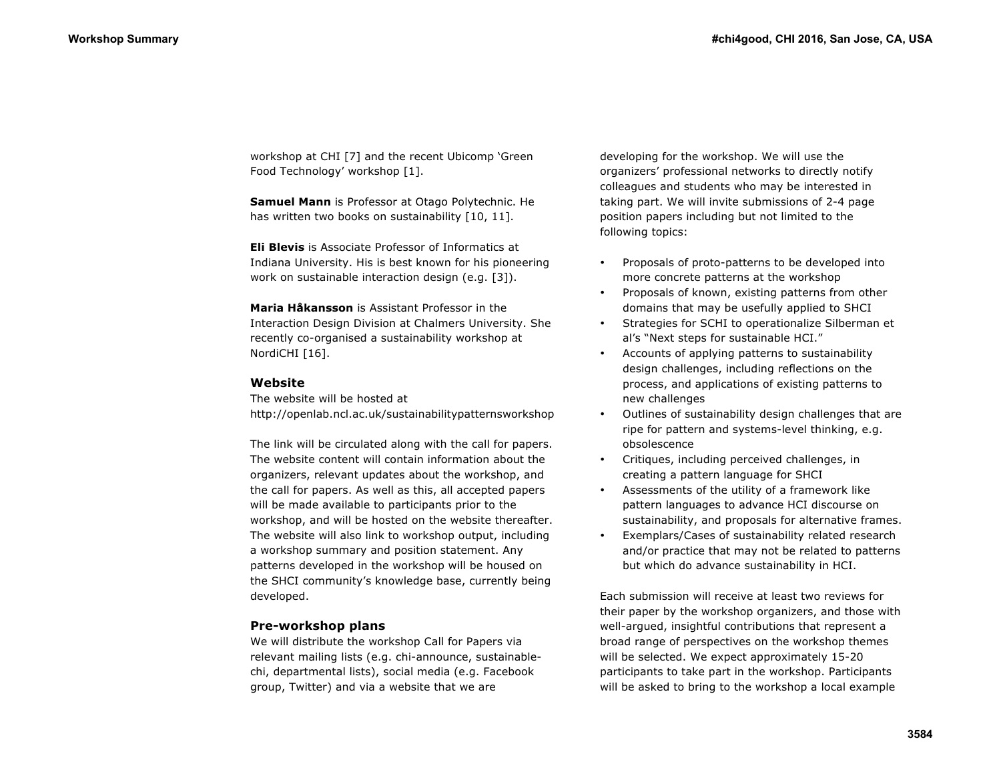workshop at CHI [7] and the recent Ubicomp 'Green Food Technology' workshop [1].

**Samuel Mann** is Professor at Otago Polytechnic. He has written two books on sustainability [10, 11].

**Eli Blevis** is Associate Professor of Informatics at Indiana University. His is best known for his pioneering work on sustainable interaction design (e.g. [3]).

**Maria Håkansson** is Assistant Professor in the Interaction Design Division at Chalmers University. She recently co-organised a sustainability workshop at NordiCHI [16].

# **Website**

The website will be hosted at http://openlab.ncl.ac.uk/sustainabilitypatternsworkshop

The link will be circulated along with the call for papers. The website content will contain information about the organizers, relevant updates about the workshop, and the call for papers. As well as this, all accepted papers will be made available to participants prior to the workshop, and will be hosted on the website thereafter. The website will also link to workshop output, including a workshop summary and position statement. Any patterns developed in the workshop will be housed on the SHCI community's knowledge base, currently being developed.

## **Pre-workshop plans**

We will distribute the workshop Call for Papers via relevant mailing lists (e.g. chi-announce, sustainablechi, departmental lists), social media (e.g. Facebook group, Twitter) and via a website that we are

developing for the workshop. We will use the organizers' professional networks to directly notify colleagues and students who may be interested in taking part. We will invite submissions of 2-4 page position papers including but not limited to the following topics:

- Proposals of proto-patterns to be developed into more concrete patterns at the workshop
- Proposals of known, existing patterns from other domains that may be usefully applied to SHCI
- Strategies for SCHI to operationalize Silberman et al's "Next steps for sustainable HCI."
- Accounts of applying patterns to sustainability design challenges, including reflections on the process, and applications of existing patterns to new challenges
- Outlines of sustainability design challenges that are ripe for pattern and systems-level thinking, e.g. obsolescence
- Critiques, including perceived challenges, in creating a pattern language for SHCI
- Assessments of the utility of a framework like pattern languages to advance HCI discourse on sustainability, and proposals for alternative frames.
- Exemplars/Cases of sustainability related research and/or practice that may not be related to patterns but which do advance sustainability in HCI.

Each submission will receive at least two reviews for their paper by the workshop organizers, and those with well-argued, insightful contributions that represent a broad range of perspectives on the workshop themes will be selected. We expect approximately 15-20 participants to take part in the workshop. Participants will be asked to bring to the workshop a local example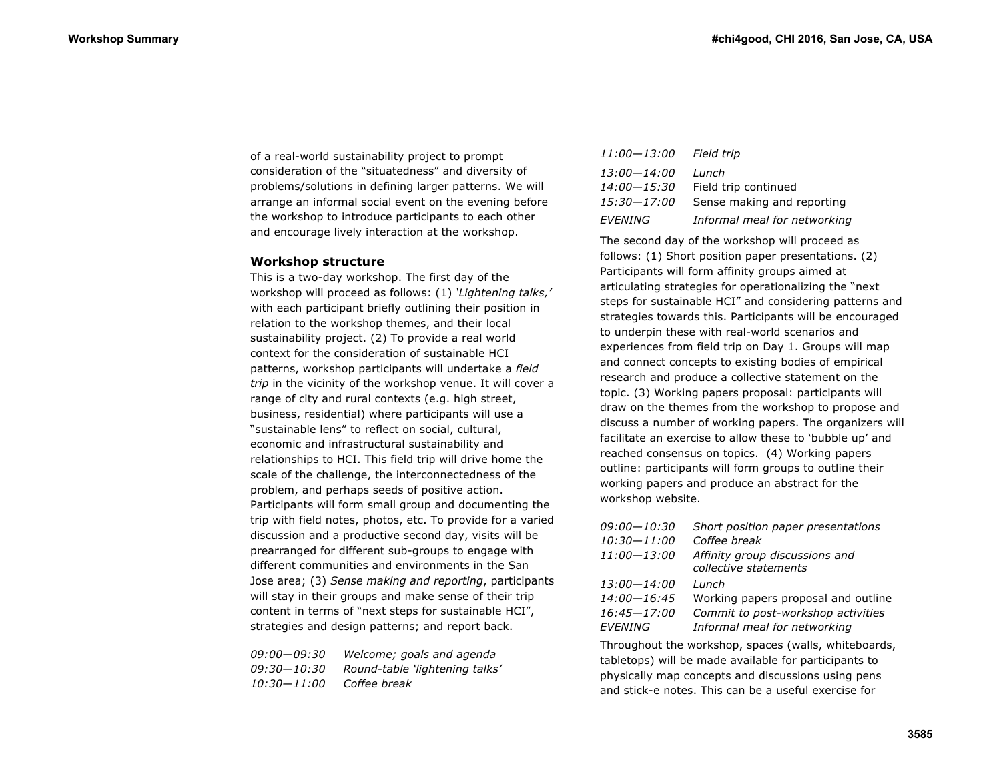of a real-world sustainability project to prompt consideration of the "situatedness" and diversity of problems/solutions in defining larger patterns. We will arrange an informal social event on the evening before the workshop to introduce participants to each other and encourage lively interaction at the workshop.

#### **Workshop structure**

This is a two-day workshop. The first day of the workshop will proceed as follows: (1) *'Lightening talks,'* with each participant briefly outlining their position in relation to the workshop themes, and their local sustainability project. (2) To provide a real world context for the consideration of sustainable HCI patterns, workshop participants will undertake a *field trip* in the vicinity of the workshop venue. It will cover a range of city and rural contexts (e.g. high street, business, residential) where participants will use a "sustainable lens" to reflect on social, cultural, economic and infrastructural sustainability and relationships to HCI. This field trip will drive home the scale of the challenge, the interconnectedness of the problem, and perhaps seeds of positive action. Participants will form small group and documenting the trip with field notes, photos, etc. To provide for a varied discussion and a productive second day, visits will be prearranged for different sub-groups to engage with different communities and environments in the San Jose area; (3) *Sense making and reporting*, participants will stay in their groups and make sense of their trip content in terms of "next steps for sustainable HCI", strategies and design patterns; and report back.

*09:00—09:30 Welcome; goals and agenda 09:30—10:30 Round-table 'lightening talks' 10:30—11:00 Coffee break*

| 11:00—13:00     | Field trip                   |
|-----------------|------------------------------|
| $13:00 - 14:00$ | Lunch                        |
| 14:00-15:30     | Field trip continued         |
| 15:30—17:00     | Sense making and reporting   |
| EVENING         | Informal meal for networking |

The second day of the workshop will proceed as follows: (1) Short position paper presentations. (2) Participants will form affinity groups aimed at articulating strategies for operationalizing the "next steps for sustainable HCI" and considering patterns and strategies towards this. Participants will be encouraged to underpin these with real-world scenarios and experiences from field trip on Day 1. Groups will map and connect concepts to existing bodies of empirical research and produce a collective statement on the topic. (3) Working papers proposal: participants will draw on the themes from the workshop to propose and discuss a number of working papers. The organizers will facilitate an exercise to allow these to 'bubble up' and reached consensus on topics. (4) Working papers outline: participants will form groups to outline their working papers and produce an abstract for the workshop website.

| $09:00 - 10:30$ | Short position paper presentations  |
|-----------------|-------------------------------------|
| $10:30 - 11:00$ | Coffee break                        |
| $11:00 - 13:00$ | Affinity group discussions and      |
|                 | collective statements               |
| $13:00 - 14:00$ | Lunch                               |
| $14:00 - 16:45$ | Working papers proposal and outline |
| $16:45 - 17:00$ | Commit to post-workshop activities  |
| <b>EVENING</b>  | Informal meal for networking        |
|                 |                                     |

*E* Throughout the workshop, spaces (walls, whiteboards, tabletops) will be made available for participants to physically map concepts and discussions using pens and stick-e notes. This can be a useful exercise for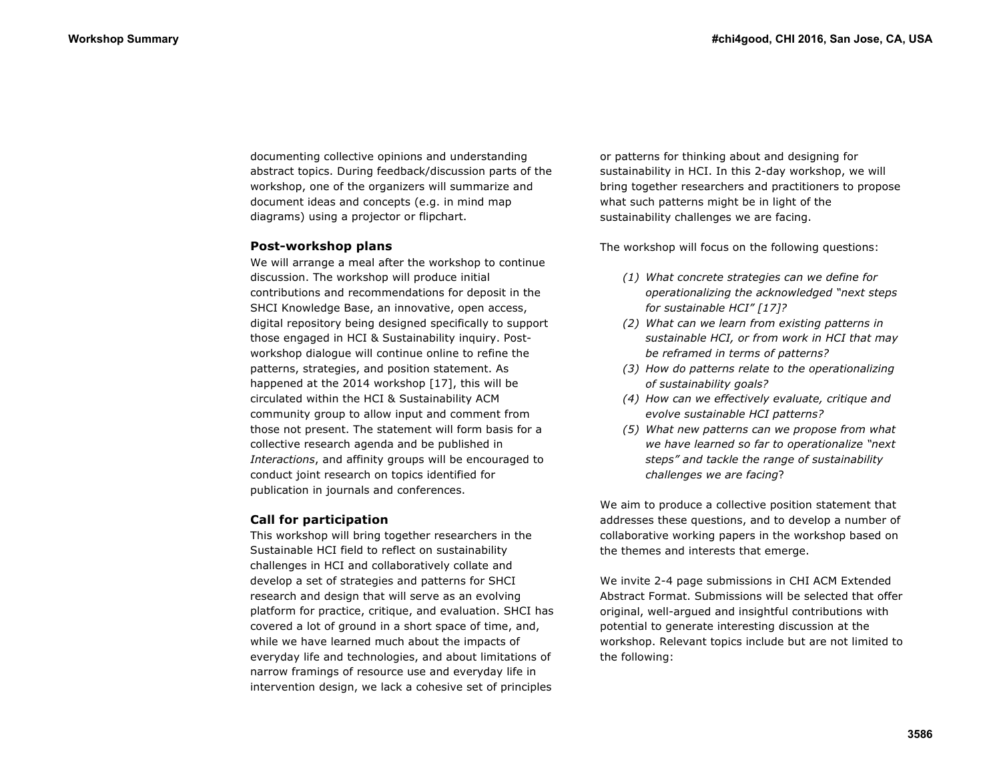documenting collective opinions and understanding abstract topics. During feedback/discussion parts of the workshop, one of the organizers will summarize and document ideas and concepts (e.g. in mind map diagrams) using a projector or flipchart.

#### **Post-workshop plans**

We will arrange a meal after the workshop to continue discussion. The workshop will produce initial contributions and recommendations for deposit in the SHCI Knowledge Base, an innovative, open access, digital repository being designed specifically to support those engaged in HCI & Sustainability inquiry. Postworkshop dialogue will continue online to refine the patterns, strategies, and position statement. As happened at the 2014 workshop [17], this will be circulated within the HCI & Sustainability ACM community group to allow input and comment from those not present. The statement will form basis for a collective research agenda and be published in *Interactions*, and affinity groups will be encouraged to conduct joint research on topics identified for publication in journals and conferences.

## **Call for participation**

This workshop will bring together researchers in the Sustainable HCI field to reflect on sustainability challenges in HCI and collaboratively collate and develop a set of strategies and patterns for SHCI research and design that will serve as an evolving platform for practice, critique, and evaluation. SHCI has covered a lot of ground in a short space of time, and, while we have learned much about the impacts of everyday life and technologies, and about limitations of narrow framings of resource use and everyday life in intervention design, we lack a cohesive set of principles

or patterns for thinking about and designing for sustainability in HCI. In this 2-day workshop, we will bring together researchers and practitioners to propose what such patterns might be in light of the sustainability challenges we are facing.

The workshop will focus on the following questions:

- *(1) What concrete strategies can we define for operationalizing the acknowledged "next steps for sustainable HCI" [17]?*
- *(2) What can we learn from existing patterns in sustainable HCI, or from work in HCI that may be reframed in terms of patterns?*
- *(3) How do patterns relate to the operationalizing of sustainability goals?*
- *(4) How can we effectively evaluate, critique and evolve sustainable HCI patterns?*
- *(5) What new patterns can we propose from what we have learned so far to operationalize "next steps" and tackle the range of sustainability challenges we are facing*?

We aim to produce a collective position statement that addresses these questions, and to develop a number of collaborative working papers in the workshop based on the themes and interests that emerge.

We invite 2-4 page submissions in CHI ACM Extended Abstract Format. Submissions will be selected that offer original, well-argued and insightful contributions with potential to generate interesting discussion at the workshop. Relevant topics include but are not limited to the following: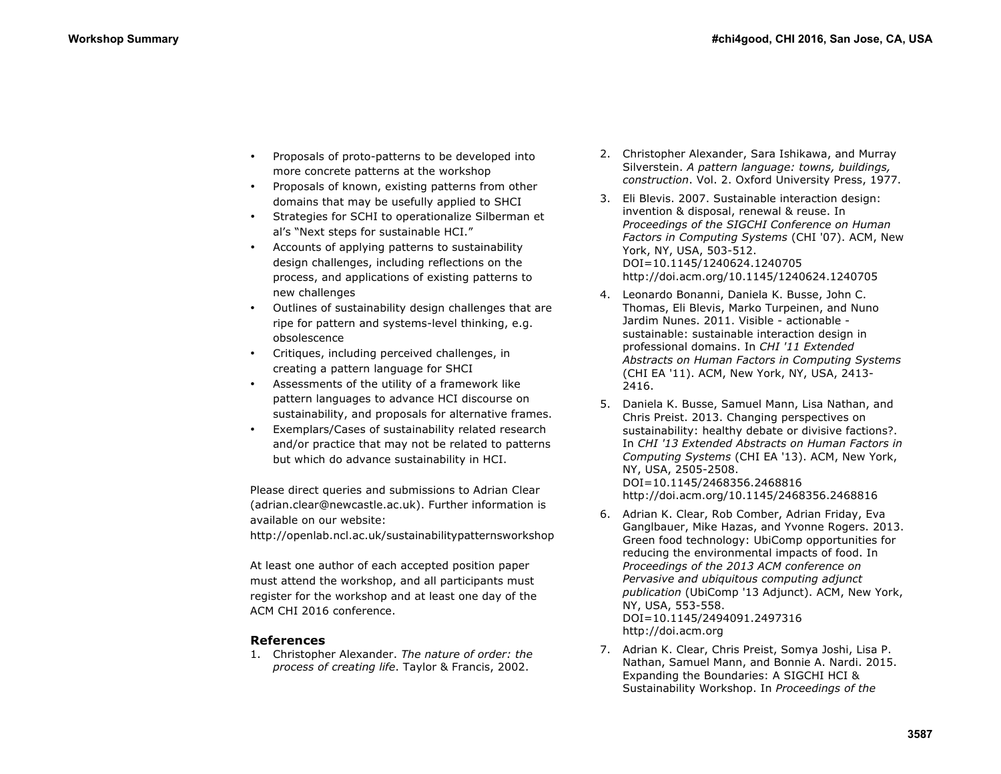- Proposals of proto-patterns to be developed into more concrete patterns at the workshop
- Proposals of known, existing patterns from other domains that may be usefully applied to SHCI
- Strategies for SCHI to operationalize Silberman et al's "Next steps for sustainable HCI."
- Accounts of applying patterns to sustainability design challenges, including reflections on the process, and applications of existing patterns to new challenges
- Outlines of sustainability design challenges that are ripe for pattern and systems-level thinking, e.g. obsolescence
- Critiques, including perceived challenges, in creating a pattern language for SHCI
- Assessments of the utility of a framework like pattern languages to advance HCI discourse on sustainability, and proposals for alternative frames.
- Exemplars/Cases of sustainability related research and/or practice that may not be related to patterns but which do advance sustainability in HCI.

Please direct queries and submissions to Adrian Clear (adrian.clear@newcastle.ac.uk). Further information is available on our website:

http://openlab.ncl.ac.uk/sustainabilitypatternsworkshop

At least one author of each accepted position paper must attend the workshop, and all participants must register for the workshop and at least one day of the ACM CHI 2016 conference.

# **References**

1. Christopher Alexander. *The nature of order: the process of creating life*. Taylor & Francis, 2002.

- 2. Christopher Alexander, Sara Ishikawa, and Murray Silverstein. *A pattern language: towns, buildings, construction*. Vol. 2. Oxford University Press, 1977.
- 3. Eli Blevis. 2007. Sustainable interaction design: invention & disposal, renewal & reuse. In *Proceedings of the SIGCHI Conference on Human Factors in Computing Systems* (CHI '07). ACM, New York, NY, USA, 503-512. DOI=10.1145/1240624.1240705 http://doi.acm.org/10.1145/1240624.1240705
- 4. Leonardo Bonanni, Daniela K. Busse, John C. Thomas, Eli Blevis, Marko Turpeinen, and Nuno Jardim Nunes. 2011. Visible - actionable sustainable: sustainable interaction design in professional domains. In *CHI '11 Extended Abstracts on Human Factors in Computing Systems* (CHI EA '11). ACM, New York, NY, USA, 2413- 2416.
- 5. Daniela K. Busse, Samuel Mann, Lisa Nathan, and Chris Preist. 2013. Changing perspectives on sustainability: healthy debate or divisive factions?. In *CHI '13 Extended Abstracts on Human Factors in Computing Systems* (CHI EA '13). ACM, New York, NY, USA, 2505-2508. DOI=10.1145/2468356.2468816 http://doi.acm.org/10.1145/2468356.2468816
- 6. Adrian K. Clear, Rob Comber, Adrian Friday, Eva Ganglbauer, Mike Hazas, and Yvonne Rogers. 2013. Green food technology: UbiComp opportunities for reducing the environmental impacts of food. In *Proceedings of the 2013 ACM conference on Pervasive and ubiquitous computing adjunct publication* (UbiComp '13 Adjunct). ACM, New York, NY, USA, 553-558. DOI=10.1145/2494091.2497316 http://doi.acm.org
- 7. Adrian K. Clear, Chris Preist, Somya Joshi, Lisa P. Nathan, Samuel Mann, and Bonnie A. Nardi. 2015. Expanding the Boundaries: A SIGCHI HCI & Sustainability Workshop. In *Proceedings of the*